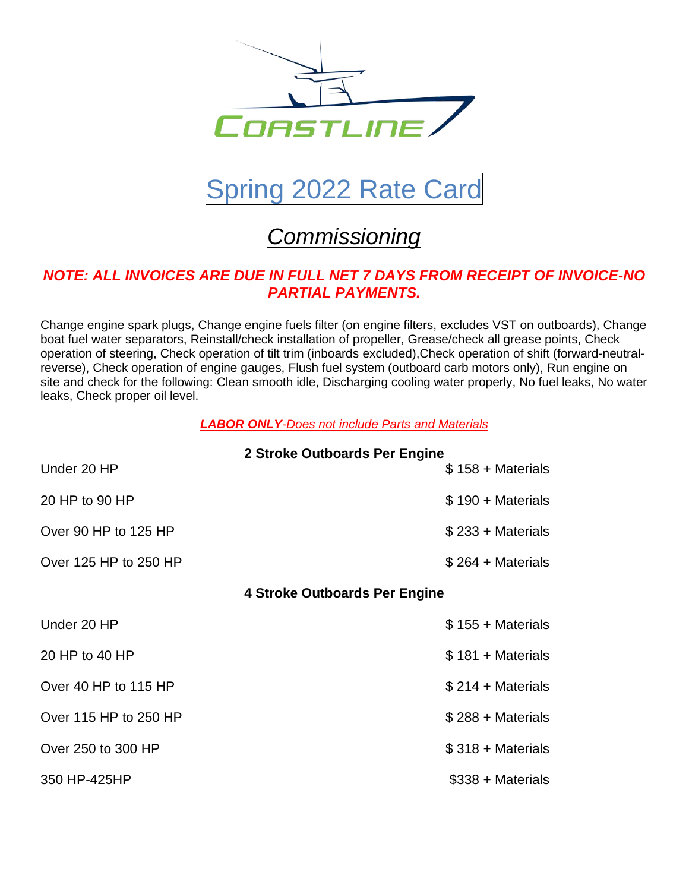

# Spring 2022 Rate Card

## *Commissioning*

### *NOTE: ALL INVOICES ARE DUE IN FULL NET 7 DAYS FROM RECEIPT OF INVOICE-NO PARTIAL PAYMENTS.*

Change engine spark plugs, Change engine fuels filter (on engine filters, excludes VST on outboards), Change boat fuel water separators, Reinstall/check installation of propeller, Grease/check all grease points, Check operation of steering, Check operation of tilt trim (inboards excluded),Check operation of shift (forward-neutralreverse), Check operation of engine gauges, Flush fuel system (outboard carb motors only), Run engine on site and check for the following: Clean smooth idle, Discharging cooling water properly, No fuel leaks, No water leaks, Check proper oil level.

#### *LABOR ONLY-Does not include Parts and Materials*

|                       | 2 Stroke Outboards Per Engine |  |  |
|-----------------------|-------------------------------|--|--|
| Under 20 HP           | $$158 + Materials$            |  |  |
| 20 HP to 90 HP        | $$190 + Materials$            |  |  |
| Over 90 HP to 125 HP  | $$233 + Materials$            |  |  |
| Over 125 HP to 250 HP | $$264 + Materials$            |  |  |
|                       | 4 Stroke Outboards Per Engine |  |  |
| Under 20 HP           | $$155 + Materials$            |  |  |
| 20 HP to 40 HP        | $$181 + Materials$            |  |  |
| Over 40 HP to 115 HP  | $$214 + Materials$            |  |  |
| Over 115 HP to 250 HP | $$288 + Materials$            |  |  |
| Over 250 to 300 HP    | $$318 + Materials$            |  |  |
| 350 HP-425HP          | \$338 + Materials             |  |  |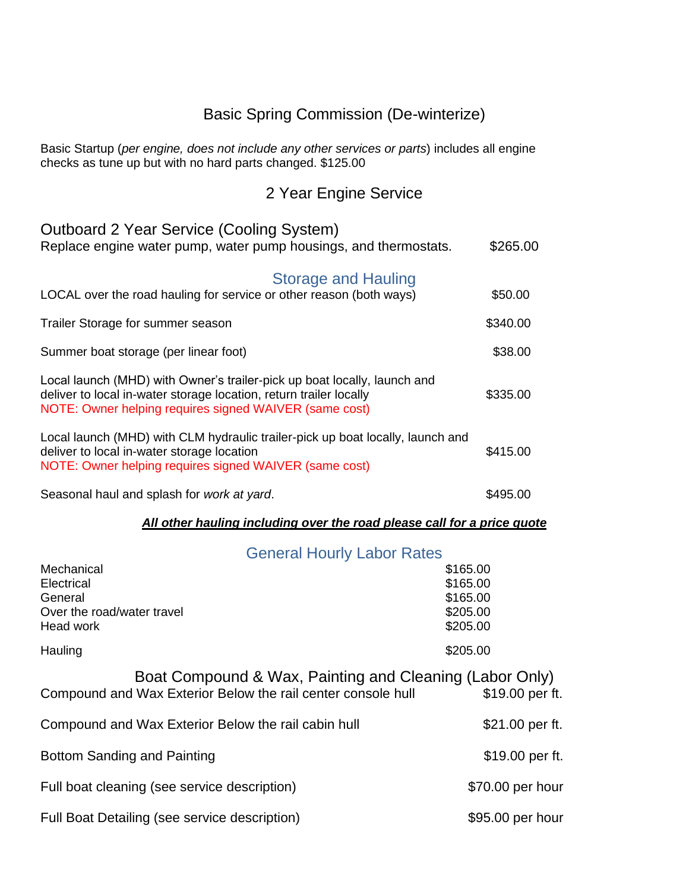### Basic Spring Commission (De-winterize)

Basic Startup (*per engine, does not include any other services or parts*) includes all engine checks as tune up but with no hard parts changed. \$125.00

### 2 Year Engine Service

| <b>Outboard 2 Year Service (Cooling System)</b><br>Replace engine water pump, water pump housings, and thermostats.                                                                                      | \$265.00 |
|----------------------------------------------------------------------------------------------------------------------------------------------------------------------------------------------------------|----------|
| <b>Storage and Hauling</b><br>LOCAL over the road hauling for service or other reason (both ways)                                                                                                        | \$50.00  |
| Trailer Storage for summer season                                                                                                                                                                        | \$340.00 |
| Summer boat storage (per linear foot)                                                                                                                                                                    | \$38.00  |
| Local launch (MHD) with Owner's trailer-pick up boat locally, launch and<br>deliver to local in-water storage location, return trailer locally<br>NOTE: Owner helping requires signed WAIVER (same cost) | \$335.00 |
| Local launch (MHD) with CLM hydraulic trailer-pick up boat locally, launch and<br>deliver to local in-water storage location<br>NOTE: Owner helping requires signed WAIVER (same cost)                   | \$415.00 |
| Seasonal haul and splash for work at yard.                                                                                                                                                               | \$495.00 |

#### *All other hauling including over the road please call for a price quote*

|                                                                                                                         | <b>General Hourly Labor Rates</b>                        |  |
|-------------------------------------------------------------------------------------------------------------------------|----------------------------------------------------------|--|
| Mechanical<br>Electrical<br>General<br>Over the road/water travel<br>Head work                                          | \$165.00<br>\$165.00<br>\$165.00<br>\$205.00<br>\$205.00 |  |
| Hauling                                                                                                                 | \$205.00                                                 |  |
| Boat Compound & Wax, Painting and Cleaning (Labor Only)<br>Compound and Wax Exterior Below the rail center console hull | \$19.00 per ft.                                          |  |
| Compound and Wax Exterior Below the rail cabin hull                                                                     | \$21.00 per ft.                                          |  |
| Bottom Sanding and Painting                                                                                             | \$19.00 per ft.                                          |  |
| Full boat cleaning (see service description)                                                                            | \$70.00 per hour                                         |  |
| Full Boat Detailing (see service description)                                                                           | \$95.00 per hour                                         |  |